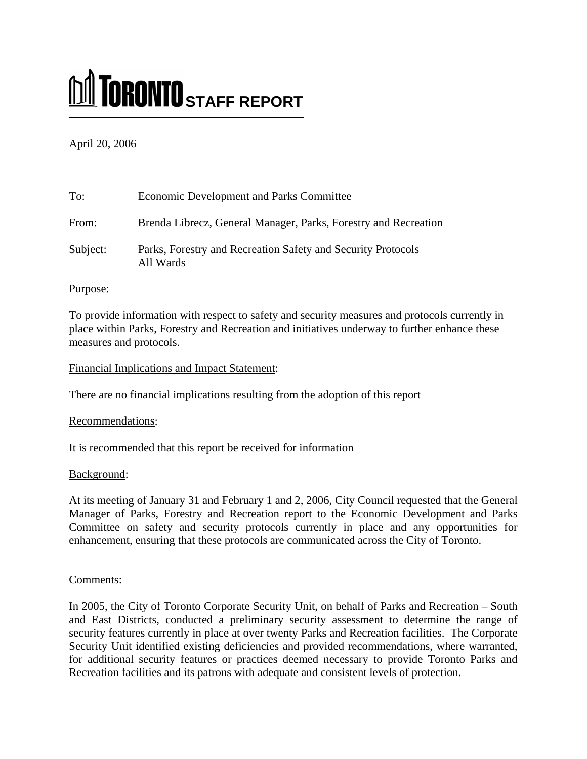# **M** TORONTO STAFF REPORT

# April 20, 2006

| To:      | <b>Economic Development and Parks Committee</b>                           |
|----------|---------------------------------------------------------------------------|
| From:    | Brenda Librecz, General Manager, Parks, Forestry and Recreation           |
| Subject: | Parks, Forestry and Recreation Safety and Security Protocols<br>All Wards |

## Purpose:

To provide information with respect to safety and security measures and protocols currently in place within Parks, Forestry and Recreation and initiatives underway to further enhance these measures and protocols.

## Financial Implications and Impact Statement:

There are no financial implications resulting from the adoption of this report

#### Recommendations:

It is recommended that this report be received for information

#### Background:

At its meeting of January 31 and February 1 and 2, 2006, City Council requested that the General Manager of Parks, Forestry and Recreation report to the Economic Development and Parks Committee on safety and security protocols currently in place and any opportunities for enhancement, ensuring that these protocols are communicated across the City of Toronto.

#### Comments:

In 2005, the City of Toronto Corporate Security Unit, on behalf of Parks and Recreation – South and East Districts, conducted a preliminary security assessment to determine the range of security features currently in place at over twenty Parks and Recreation facilities. The Corporate Security Unit identified existing deficiencies and provided recommendations, where warranted, for additional security features or practices deemed necessary to provide Toronto Parks and Recreation facilities and its patrons with adequate and consistent levels of protection.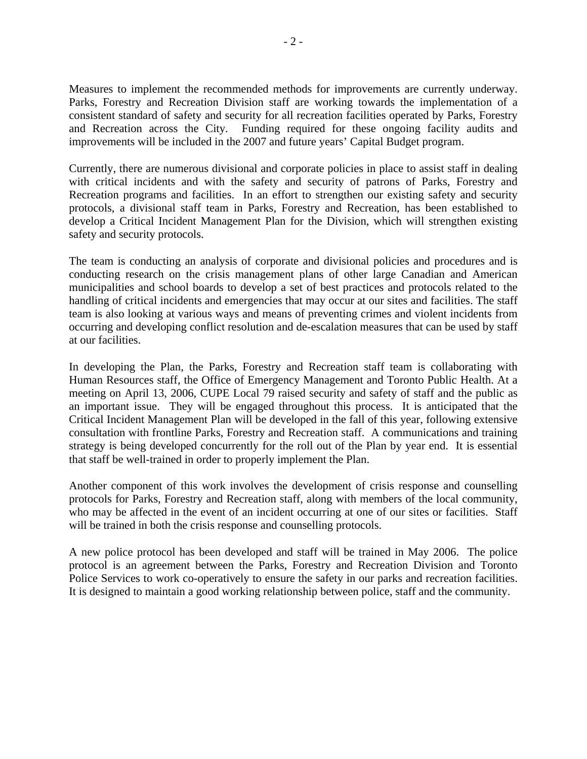Measures to implement the recommended methods for improvements are currently underway. Parks, Forestry and Recreation Division staff are working towards the implementation of a consistent standard of safety and security for all recreation facilities operated by Parks, Forestry and Recreation across the City. Funding required for these ongoing facility audits and improvements will be included in the 2007 and future years' Capital Budget program.

Currently, there are numerous divisional and corporate policies in place to assist staff in dealing with critical incidents and with the safety and security of patrons of Parks, Forestry and Recreation programs and facilities. In an effort to strengthen our existing safety and security protocols, a divisional staff team in Parks, Forestry and Recreation, has been established to develop a Critical Incident Management Plan for the Division, which will strengthen existing safety and security protocols.

The team is conducting an analysis of corporate and divisional policies and procedures and is conducting research on the crisis management plans of other large Canadian and American municipalities and school boards to develop a set of best practices and protocols related to the handling of critical incidents and emergencies that may occur at our sites and facilities. The staff team is also looking at various ways and means of preventing crimes and violent incidents from occurring and developing conflict resolution and de-escalation measures that can be used by staff at our facilities.

In developing the Plan, the Parks, Forestry and Recreation staff team is collaborating with Human Resources staff, the Office of Emergency Management and Toronto Public Health. At a meeting on April 13, 2006, CUPE Local 79 raised security and safety of staff and the public as an important issue. They will be engaged throughout this process. It is anticipated that the Critical Incident Management Plan will be developed in the fall of this year, following extensive consultation with frontline Parks, Forestry and Recreation staff. A communications and training strategy is being developed concurrently for the roll out of the Plan by year end. It is essential that staff be well-trained in order to properly implement the Plan.

Another component of this work involves the development of crisis response and counselling protocols for Parks, Forestry and Recreation staff, along with members of the local community, who may be affected in the event of an incident occurring at one of our sites or facilities. Staff will be trained in both the crisis response and counselling protocols.

A new police protocol has been developed and staff will be trained in May 2006. The police protocol is an agreement between the Parks, Forestry and Recreation Division and Toronto Police Services to work co-operatively to ensure the safety in our parks and recreation facilities. It is designed to maintain a good working relationship between police, staff and the community.